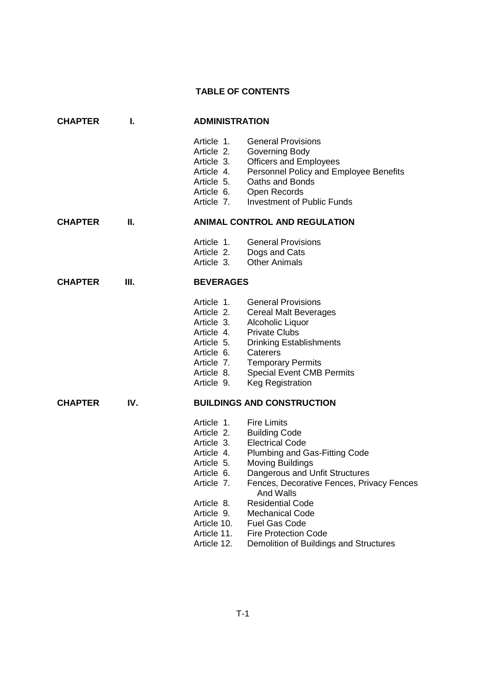## **TABLE OF CONTENTS**

| <b>CHAPTER</b> | I.  |                                                                                                                                                          | <b>ADMINISTRATION</b>                                                                                                                                                                                                                                                                                                                    |  |  |
|----------------|-----|----------------------------------------------------------------------------------------------------------------------------------------------------------|------------------------------------------------------------------------------------------------------------------------------------------------------------------------------------------------------------------------------------------------------------------------------------------------------------------------------------------|--|--|
|                |     | Article 1.<br>Article 2.<br>Article 3.<br>Article 4.<br>Article 5.<br>Article 6.<br>Article 7.                                                           | <b>General Provisions</b><br>Governing Body<br><b>Officers and Employees</b><br>Personnel Policy and Employee Benefits<br>Oaths and Bonds<br>Open Records<br><b>Investment of Public Funds</b>                                                                                                                                           |  |  |
| <b>CHAPTER</b> | Ш.  |                                                                                                                                                          | <b>ANIMAL CONTROL AND REGULATION</b>                                                                                                                                                                                                                                                                                                     |  |  |
|                |     | Article 1.<br>Article 2.<br>Article 3.                                                                                                                   | <b>General Provisions</b><br>Dogs and Cats<br><b>Other Animals</b>                                                                                                                                                                                                                                                                       |  |  |
| <b>CHAPTER</b> | Ш.  |                                                                                                                                                          | <b>BEVERAGES</b>                                                                                                                                                                                                                                                                                                                         |  |  |
|                |     | Article 1.<br>Article 2.<br>Article 3.<br>Article 4.<br>Article 5.<br>Article 6.<br>Article 7.<br>Article 8.<br>Article 9.                               | <b>General Provisions</b><br><b>Cereal Malt Beverages</b><br>Alcoholic Liquor<br><b>Private Clubs</b><br><b>Drinking Establishments</b><br>Caterers<br><b>Temporary Permits</b><br><b>Special Event CMB Permits</b><br><b>Keg Registration</b>                                                                                           |  |  |
| <b>CHAPTER</b> | IV. |                                                                                                                                                          | <b>BUILDINGS AND CONSTRUCTION</b>                                                                                                                                                                                                                                                                                                        |  |  |
|                |     | Article 1.<br>Article 2.<br>Article 3.<br>Article 4.<br>Article 5.<br>Article 6.<br>Article 7.<br>Article 8.<br>Article 9.<br>Article 10.<br>Article 11. | <b>Fire Limits</b><br><b>Building Code</b><br><b>Electrical Code</b><br>Plumbing and Gas-Fitting Code<br><b>Moving Buildings</b><br>Dangerous and Unfit Structures<br>Fences, Decorative Fences, Privacy Fences<br>And Walls<br><b>Residential Code</b><br><b>Mechanical Code</b><br><b>Fuel Gas Code</b><br><b>Fire Protection Code</b> |  |  |

Article 12. Demolition of Buildings and Structures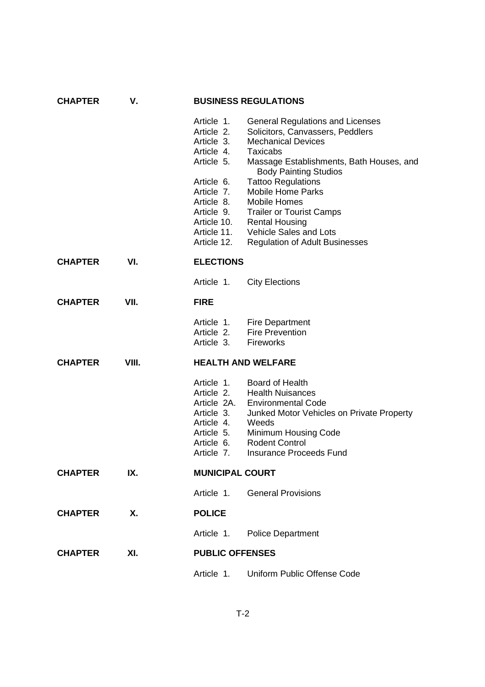| <b>CHAPTER</b> | ۷.        | <b>BUSINESS REGULATIONS</b> |                                                                             |  |  |
|----------------|-----------|-----------------------------|-----------------------------------------------------------------------------|--|--|
|                |           | Article 1.<br>Article 2.    | <b>General Regulations and Licenses</b><br>Solicitors, Canvassers, Peddlers |  |  |
|                |           | Article 3.                  | <b>Mechanical Devices</b>                                                   |  |  |
|                |           | Article 4.                  | Taxicabs                                                                    |  |  |
|                |           | Article 5.                  | Massage Establishments, Bath Houses, and<br><b>Body Painting Studios</b>    |  |  |
|                |           | Article 6.                  | <b>Tattoo Regulations</b>                                                   |  |  |
|                |           | Article 7.                  | <b>Mobile Home Parks</b>                                                    |  |  |
|                |           | Article 8.                  | <b>Mobile Homes</b>                                                         |  |  |
|                |           | Article 9.                  | <b>Trailer or Tourist Camps</b>                                             |  |  |
|                |           | Article 10.                 | <b>Rental Housing</b>                                                       |  |  |
|                |           | Article 11.                 | Vehicle Sales and Lots                                                      |  |  |
|                |           | Article 12.                 | <b>Regulation of Adult Businesses</b>                                       |  |  |
| <b>CHAPTER</b> | VI.       |                             | <b>ELECTIONS</b>                                                            |  |  |
|                |           | Article 1.                  | <b>City Elections</b>                                                       |  |  |
| <b>CHAPTER</b> | VII.      | <b>FIRE</b>                 |                                                                             |  |  |
|                |           |                             | Article 1. Fire Department                                                  |  |  |
|                |           | Article 2.                  | <b>Fire Prevention</b>                                                      |  |  |
|                |           | Article 3.                  | Fireworks                                                                   |  |  |
| <b>CHAPTER</b> | VIII.     |                             | <b>HEALTH AND WELFARE</b>                                                   |  |  |
|                |           | Article 1.                  | <b>Board of Health</b>                                                      |  |  |
|                |           | Article 2.                  | <b>Health Nuisances</b>                                                     |  |  |
|                |           | Article 2A.                 | <b>Environmental Code</b>                                                   |  |  |
|                |           | Article 3.<br>Article 4.    | Junked Motor Vehicles on Private Property<br>Weeds                          |  |  |
|                |           | Article 5.                  | Minimum Housing Code                                                        |  |  |
|                |           | Article 6.                  | <b>Rodent Control</b>                                                       |  |  |
|                |           | Article 7.                  | <b>Insurance Proceeds Fund</b>                                              |  |  |
| <b>CHAPTER</b> | IX.       |                             | <b>MUNICIPAL COURT</b>                                                      |  |  |
|                |           | Article 1.                  | <b>General Provisions</b>                                                   |  |  |
| <b>CHAPTER</b> | <b>X.</b> | <b>POLICE</b>               |                                                                             |  |  |
|                |           |                             | Article 1. Police Department                                                |  |  |
| <b>CHAPTER</b> | XI.       |                             | <b>PUBLIC OFFENSES</b>                                                      |  |  |
|                |           | Article 1.                  | Uniform Public Offense Code                                                 |  |  |